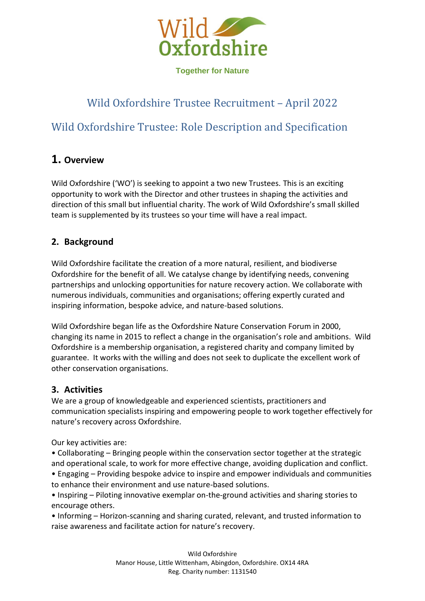

# Wild Oxfordshire Trustee Recruitment – April 2022

# Wild Oxfordshire Trustee: Role Description and Specification

# **1. Overview**

Wild Oxfordshire ('WO') is seeking to appoint a two new Trustees. This is an exciting opportunity to work with the Director and other trustees in shaping the activities and direction of this small but influential charity. The work of Wild Oxfordshire's small skilled team is supplemented by its trustees so your time will have a real impact.

# **2. Background**

Wild Oxfordshire facilitate the creation of a more natural, resilient, and biodiverse Oxfordshire for the benefit of all. We catalyse change by identifying needs, convening partnerships and unlocking opportunities for nature recovery action. We collaborate with numerous individuals, communities and organisations; offering expertly curated and inspiring information, bespoke advice, and nature-based solutions.

Wild Oxfordshire began life as the Oxfordshire Nature Conservation Forum in 2000, changing its name in 2015 to reflect a change in the organisation's role and ambitions. Wild Oxfordshire is a membership organisation, a registered charity and company limited by guarantee. It works with the willing and does not seek to duplicate the excellent work of other conservation organisations.

### **3. Activities**

We are a group of knowledgeable and experienced scientists, practitioners and communication specialists inspiring and empowering people to work together effectively for nature's recovery across Oxfordshire.

Our key activities are:

• Collaborating – Bringing people within the conservation sector together at the strategic and operational scale, to work for more effective change, avoiding duplication and conflict. • Engaging – Providing bespoke advice to inspire and empower individuals and communities

to enhance their environment and use nature-based solutions.

• Inspiring – Piloting innovative exemplar on-the-ground activities and sharing stories to encourage others.

• Informing – Horizon-scanning and sharing curated, relevant, and trusted information to raise awareness and facilitate action for nature's recovery.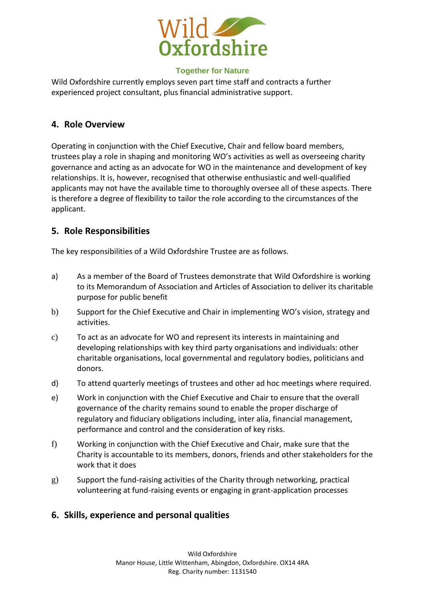

Wild Oxfordshire currently employs seven part time staff and contracts a further experienced project consultant, plus financial administrative support.

### **4. Role Overview**

Operating in conjunction with the Chief Executive, Chair and fellow board members, trustees play a role in shaping and monitoring WO's activities as well as overseeing charity governance and acting as an advocate for WO in the maintenance and development of key relationships. It is, however, recognised that otherwise enthusiastic and well-qualified applicants may not have the available time to thoroughly oversee all of these aspects. There is therefore a degree of flexibility to tailor the role according to the circumstances of the applicant.

## **5. Role Responsibilities**

The key responsibilities of a Wild Oxfordshire Trustee are as follows.

- a) As a member of the Board of Trustees demonstrate that Wild Oxfordshire is working to its Memorandum of Association and Articles of Association to deliver its charitable purpose for public benefit
- b) Support for the Chief Executive and Chair in implementing WO's vision, strategy and activities.
- c) To act as an advocate for WO and represent its interests in maintaining and developing relationships with key third party organisations and individuals: other charitable organisations, local governmental and regulatory bodies, politicians and donors.
- d) To attend quarterly meetings of trustees and other ad hoc meetings where required.
- e) Work in conjunction with the Chief Executive and Chair to ensure that the overall governance of the charity remains sound to enable the proper discharge of regulatory and fiduciary obligations including, inter alia, financial management, performance and control and the consideration of key risks.
- f) Working in conjunction with the Chief Executive and Chair, make sure that the Charity is accountable to its members, donors, friends and other stakeholders for the work that it does
- g) Support the fund-raising activities of the Charity through networking, practical volunteering at fund-raising events or engaging in grant-application processes

# **6. Skills, experience and personal qualities**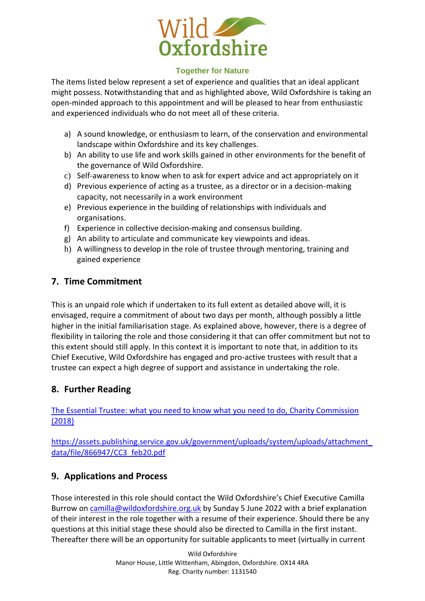

The items listed below represent a set of experience and qualities that an ideal applicant might possess. Notwithstanding that and as highlighted above, Wild Oxfordshire is taking an open-minded approach to this appointment and will be pleased to hear from enthusiastic and experienced individuals who do not meet all of these criteria.

- a) A sound knowledge, or enthusiasm to learn, of the conservation and environmental landscape within Oxfordshire and its key challenges.
- b) An ability to use life and work skills gained in other environments for the benefit of the governance of Wild Oxfordshire.
- c) Self-awareness to know when to ask for expert advice and act appropriately on it
- d) Previous experience of acting as a trustee, as a director or in a decision-making capacity, not necessarily in a work environment
- e) Previous experience in the building of relationships with individuals and organisations.
- f) Experience in collective decision-making and consensus building.
- g) An ability to articulate and communicate key viewpoints and ideas.
- h) A willingness to develop in the role of trustee through mentoring, training and gained experience

# **7. Time Commitment**

This is an unpaid role which if undertaken to its full extent as detailed above will, it is envisaged, require a commitment of about two days per month, although possibly a little higher in the initial familiarisation stage. As explained above, however, there is a degree of flexibility in tailoring the role and those considering it that can offer commitment but not to this extent should still apply. In this context it is important to note that, in addition to its Chief Executive, Wild Oxfordshire has engaged and pro-active trustees with result that a trustee can expect a high degree of support and assistance in undertaking the role.

# **8. Further Reading**

[The Essential Trustee: what you need to know what you need to do, Charity Commission](https://assets.publishing.service.gov.uk/government/uploads/system/uploads/attachment_data/file/866947/CC3_feb20.pdf)  [\(2018\)](https://assets.publishing.service.gov.uk/government/uploads/system/uploads/attachment_data/file/866947/CC3_feb20.pdf) 

[https://assets.publishing.service.gov.uk/government/uploads/system/uploads/attachment\\_](https://assets.publishing.service.gov.uk/government/uploads/system/uploads/attachment_data/file/866947/CC3_feb20.pdf) [data/file/866947/CC3\\_feb20.pdf](https://assets.publishing.service.gov.uk/government/uploads/system/uploads/attachment_data/file/866947/CC3_feb20.pdf)

# **9. Applications and Process**

Those interested in this role should contact the Wild Oxfordshire's Chief Executive Camilla Burrow on [camilla@wildoxfordshire.org.uk](mailto:camilla@wildoxfordshire.org.uk) by Sunday 5 June 2022 with a brief explanation of their interest in the role together with a resume of their experience. Should there be any questions at this initial stage these should also be directed to Camilla in the first instant. Thereafter there will be an opportunity for suitable applicants to meet (virtually in current